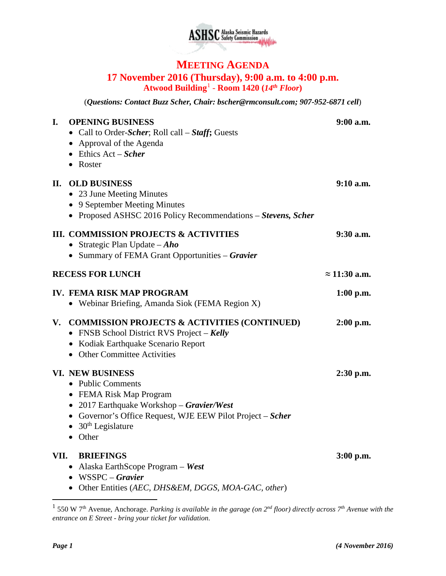

## **MEETING AGENDA 17 November 2016 (Thursday), 9:00 a.m. to 4:00 p.m. Atwood Building**[1](#page-0-0) - **Room 1420 (***14th Floor***)**

(*Questions: Contact Buzz Scher, Chair: [bscher@rmconsult.com;](mailto:bscher@rmconsult.com) 907-952-6871 cell*)

| I.                      | <b>OPENING BUSINESS</b><br>• Call to Order-Scher; Roll call – Staff; Guests<br>• Approval of the Agenda<br>$\bullet$ Ethics Act – Scher<br>• Roster                                                                                     | 9:00 a.m.            |
|-------------------------|-----------------------------------------------------------------------------------------------------------------------------------------------------------------------------------------------------------------------------------------|----------------------|
|                         | <b>II. OLD BUSINESS</b><br>• 23 June Meeting Minutes<br>• 9 September Meeting Minutes<br>• Proposed ASHSC 2016 Policy Recommendations – Stevens, Scher                                                                                  | $9:10$ a.m.          |
|                         | <b>III. COMMISSION PROJECTS &amp; ACTIVITIES</b><br>• Strategic Plan Update $-Aho$<br>• Summary of FEMA Grant Opportunities – Gravier                                                                                                   | 9:30 a.m.            |
| <b>RECESS FOR LUNCH</b> |                                                                                                                                                                                                                                         | $\approx$ 11:30 a.m. |
|                         | <b>IV. FEMA RISK MAP PROGRAM</b><br>• Webinar Briefing, Amanda Siok (FEMA Region X)                                                                                                                                                     | $1:00$ p.m.          |
| V.                      | <b>COMMISSION PROJECTS &amp; ACTIVITIES (CONTINUED)</b><br>• FNSB School District RVS Project - Kelly<br>• Kodiak Earthquake Scenario Report<br>• Other Committee Activities                                                            | $2:00$ p.m.          |
|                         | <b>VI. NEW BUSINESS</b><br>• Public Comments<br>• FEMA Risk Map Program<br>• 2017 Earthquake Workshop - Gravier/West<br>• Governor's Office Request, WJE EEW Pilot Project – Scher<br>$\bullet$ 30 <sup>th</sup> Legislature<br>• Other | $2:30$ p.m.          |
| VII.                    | <b>BRIEFINGS</b><br>• Alaska EarthScope Program - West<br>$\bullet$ WSSPC – Gravier<br>· Other Entities (AEC, DHS&EM, DGGS, MOA-GAC, other)                                                                                             | $3:00$ p.m.          |

<span id="page-0-0"></span> <sup>1</sup> 550 W 7th Avenue, Anchorage. *Parking is available in the garage (on 2nd floor) directly across 7th Avenue with the entrance on E Street - bring your ticket for validation.*